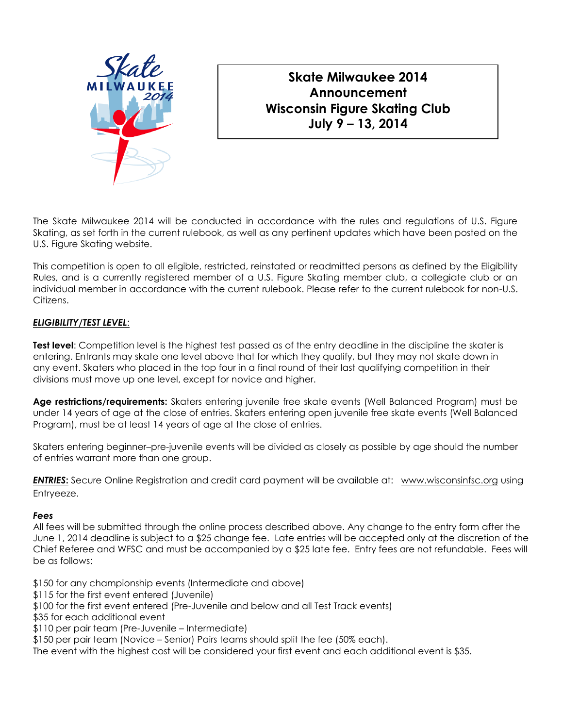

# **Skate Milwaukee 2014 Announcement Wisconsin Figure Skating Club July 9 – 13, 2014**

The Skate Milwaukee 2014 will be conducted in accordance with the rules and regulations of U.S. Figure Skating, as set forth in the current rulebook, as well as any pertinent updates which have been posted on the U.S. Figure Skating website.

This competition is open to all eligible, restricted, reinstated or readmitted persons as defined by the Eligibility Rules, and is a currently registered member of a U.S. Figure Skating member club, a collegiate club or an individual member in accordance with the current rulebook. Please refer to the current rulebook for non-U.S. Citizens.

## *ELIGIBILITY/TEST LEVEL*:

**Test level**: Competition level is the highest test passed as of the entry deadline in the discipline the skater is entering. Entrants may skate one level above that for which they qualify, but they may not skate down in any event. Skaters who placed in the top four in a final round of their last qualifying competition in their divisions must move up one level, except for novice and higher.

**Age restrictions/requirements:** Skaters entering juvenile free skate events (Well Balanced Program) must be under 14 years of age at the close of entries. Skaters entering open juvenile free skate events (Well Balanced Program), must be at least 14 years of age at the close of entries.

Skaters entering beginner–pre-juvenile events will be divided as closely as possible by age should the number of entries warrant more than one group.

**ENTRIES**<sup>2</sup>: Secure Online Registration and credit card payment will be available at: [www.wisconsinfsc.org](http://www.wisconsinfsc.org/) using Entryeeze.

#### *Fees*

All fees will be submitted through the online process described above. Any change to the entry form after the June 1, 2014 deadline is subject to a \$25 change fee. Late entries will be accepted only at the discretion of the Chief Referee and WFSC and must be accompanied by a \$25 late fee. Entry fees are not refundable. Fees will be as follows:

\$150 for any championship events (Intermediate and above)

\$115 for the first event entered (Juvenile)

- \$100 for the first event entered (Pre-Juvenile and below and all Test Track events)
- \$35 for each additional event
- \$110 per pair team (Pre-Juvenile Intermediate)

\$150 per pair team (Novice – Senior) Pairs teams should split the fee (50% each).

The event with the highest cost will be considered your first event and each additional event is \$35.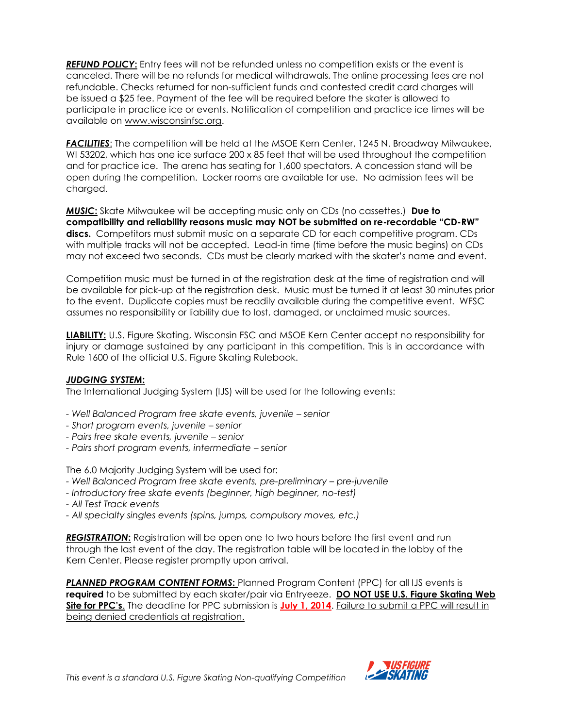*REFUND POLICY***:** Entry fees will not be refunded unless no competition exists or the event is canceled. There will be no refunds for medical withdrawals. The online processing fees are not refundable. Checks returned for non-sufficient funds and contested credit card charges will be issued a \$25 fee. Payment of the fee will be required before the skater is allowed to participate in practice ice or events. Notification of competition and practice ice times will be available on www.wisconsinfsc.org.

**FACILITIES:** The competition will be held at the MSOE Kern Center, 1245 N. Broadway Milwaukee, WI 53202, which has one ice surface 200 x 85 feet that will be used throughout the competition and for practice ice. The arena has seating for 1,600 spectators. A concession stand will be open during the competition. Locker rooms are available for use. No admission fees will be charged.

*MUSIC***:** Skate Milwaukee will be accepting music only on CDs (no cassettes.) **Due to compatibility and reliability reasons music may NOT be submitted on re-recordable "CD-RW"**  discs. Competitors must submit music on a separate CD for each competitive program. CDs with multiple tracks will not be accepted. Lead-in time (time before the music begins) on CDs may not exceed two seconds. CDs must be clearly marked with the skater's name and event.

Competition music must be turned in at the registration desk at the time of registration and will be available for pick-up at the registration desk. Music must be turned it at least 30 minutes prior to the event. Duplicate copies must be readily available during the competitive event. WFSC assumes no responsibility or liability due to lost, damaged, or unclaimed music sources.

**LIABILITY:** U.S. Figure Skating, Wisconsin FSC and MSOE Kern Center accept no responsibility for injury or damage sustained by any participant in this competition. This is in accordance with Rule 1600 of the official U.S. Figure Skating Rulebook.

#### *JUDGING SYSTEM***:**

The International Judging System (IJS) will be used for the following events:

- *- Well Balanced Program free skate events, juvenile – senior*
- *- Short program events, juvenile – senior*
- *- Pairs free skate events, juvenile – senior*
- *- Pairs short program events, intermediate – senior*

The 6.0 Majority Judging System will be used for:

- Well Balanced Program free skate events, pre-preliminary pre-juvenile
- *- Introductory free skate events (beginner, high beginner, no-test)*
- *- All Test Track events*
- *- All specialty singles events (spins, jumps, compulsory moves, etc.)*

*REGISTRATION***:** Registration will be open one to two hours before the first event and run through the last event of the day. The registration table will be located in the lobby of the Kern Center. Please register promptly upon arrival.

**PLANNED PROGRAM CONTENT FORMS:** Planned Program Content (PPC) for all IJS events is **required** to be submitted by each skater/pair via Entryeeze. **DO NOT USE U.S. Figure Skating Web Site for PPC's.** The deadline for PPC submission is **July 1, 2014**. Failure to submit a PPC will result in being denied credentials at registration.

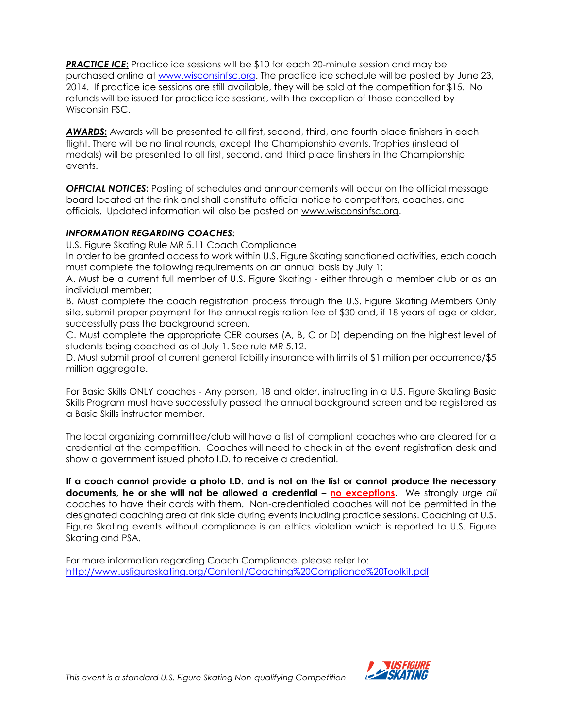**PRACTICE ICE:** Practice ice sessions will be \$10 for each 20-minute session and may be purchased online at [www.wisconsinfsc.org.](http://www.wisconsinfsc.org/) The practice ice schedule will be posted by June 23, 2014. If practice ice sessions are still available, they will be sold at the competition for \$15. No refunds will be issued for practice ice sessions, with the exception of those cancelled by Wisconsin FSC.

*AWARDS***:** Awards will be presented to all first, second, third, and fourth place finishers in each flight. There will be no final rounds, except the Championship events. Trophies (instead of medals) will be presented to all first, second, and third place finishers in the Championship events.

**OFFICIAL NOTICES:** Posting of schedules and announcements will occur on the official message board located at the rink and shall constitute official notice to competitors, coaches, and officials. Updated information will also be posted on www.wisconsinfsc.org.

#### *INFORMATION REGARDING COACHES***:**

U.S. Figure Skating Rule MR 5.11 Coach Compliance

In order to be granted access to work within U.S. Figure Skating sanctioned activities, each coach must complete the following requirements on an annual basis by July 1:

A. Must be a current full member of U.S. Figure Skating - either through a member club or as an individual member;

B. Must complete the coach registration process through the U.S. Figure Skating Members Only site, submit proper payment for the annual registration fee of \$30 and, if 18 years of age or older, successfully pass the background screen.

C. Must complete the appropriate CER courses (A, B, C or D) depending on the highest level of students being coached as of July 1. See rule MR 5.12.

D. Must submit proof of current general liability insurance with limits of \$1 million per occurrence/\$5 million aggregate.

For Basic Skills ONLY coaches - Any person, 18 and older, instructing in a U.S. Figure Skating Basic Skills Program must have successfully passed the annual background screen and be registered as a Basic Skills instructor member.

The local organizing committee/club will have a list of compliant coaches who are cleared for a credential at the competition. Coaches will need to check in at the event registration desk and show a government issued photo I.D. to receive a credential.

**If a coach cannot provide a photo I.D. and is not on the list or cannot produce the necessary documents, he or she will not be allowed a credential – no exceptions**. We strongly urge *all*  coaches to have their cards with them. Non-credentialed coaches will not be permitted in the designated coaching area at rink side during events including practice sessions. Coaching at U.S. Figure Skating events without compliance is an ethics violation which is reported to U.S. Figure Skating and PSA.

For more information regarding Coach Compliance, please refer to: <http://www.usfigureskating.org/Content/Coaching%20Compliance%20Toolkit.pdf>

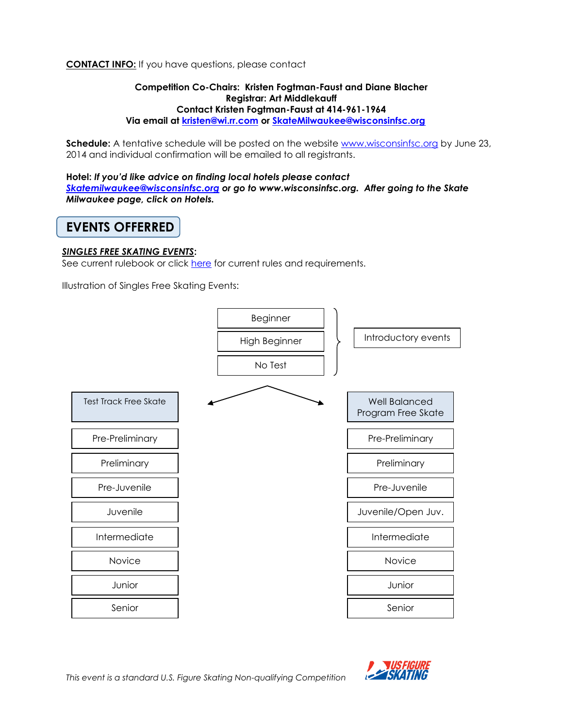## **CONTACT INFO:** If you have questions, please contact

#### **Competition Co-Chairs: Kristen Fogtman-Faust and Diane Blacher Registrar: Art Middlekauff Contact Kristen Fogtman-Faust at 414-961-1964 Via email at [kristen@wi.rr.com](mailto:kristen@wi.rr.com) or [SkateMilwaukee@wisconsinfsc.org](mailto:SkateMilwaukee@wisconsinfsc.org)**

**Schedule:** A tentative schedule will be posted on the website [www.wisconsinfsc.org](http://www.wisconsinfsc.org/) by June 23, 2014 and individual confirmation will be emailed to all registrants.

**Hotel:** *If you'd like advice on finding local hotels please contact [Skatemilwaukee@wisconsinfsc.org](mailto:Skatemilwaukee@wisconsinfsc.org) or go to www.wisconsinfsc.org. After going to the Skate Milwaukee page, click on Hotels.*

# **EVENTS OFFERRED**

#### *SINGLES FREE SKATING EVENTS***:**

See current rulebook or click [here](http://www.usfigureskating.org/New_Judging.asp?id=361) for current rules and requirements.

Illustration of Singles Free Skating Events:



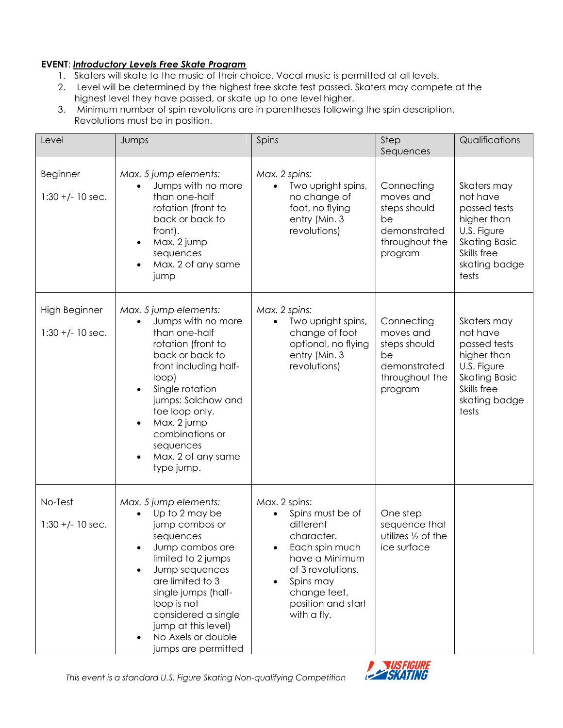## **EVENT**: *Introductory Levels Free Skate Program*

- 1. Skaters will skate to the music of their choice. Vocal music is permitted at all levels.
- 2. Level will be determined by the highest free skate test passed. Skaters may compete at the highest level they have passed, or skate up to one level higher.
- 3. Minimum number of spin revolutions are in parentheses following the spin description. Revolutions must be in position.

| Level                               | Jumps                                                                                                                                                                                                                                                                                                                                      | Spins                                                                                                                                                                                   | Step<br>Sequences                                                                          | Qualifications                                                                                                                         |
|-------------------------------------|--------------------------------------------------------------------------------------------------------------------------------------------------------------------------------------------------------------------------------------------------------------------------------------------------------------------------------------------|-----------------------------------------------------------------------------------------------------------------------------------------------------------------------------------------|--------------------------------------------------------------------------------------------|----------------------------------------------------------------------------------------------------------------------------------------|
| Beginner<br>$1:30 + (-10 sec.$      | Max. 5 jump elements:<br>Jumps with no more<br>$\bullet$<br>than one-half<br>rotation (front to<br>back or back to<br>front).<br>Max. 2 jump<br>$\bullet$<br>sequences<br>Max. 2 of any same<br>$\bullet$<br>jump                                                                                                                          | Max. 2 spins:<br>Two upright spins,<br>$\bullet$<br>no change of<br>foot, no flying<br>entry (Min. 3<br>revolutions)                                                                    | Connecting<br>moves and<br>steps should<br>be<br>demonstrated<br>throughout the<br>program | Skaters may<br>not have<br>passed tests<br>higher than<br>U.S. Figure<br><b>Skating Basic</b><br>Skills free<br>skating badge<br>tests |
| High Beginner<br>$1:30 + (-10 sec.$ | Max. 5 jump elements:<br>Jumps with no more<br>$\bullet$<br>than one-half<br>rotation (front to<br>back or back to<br>front including half-<br>loop)<br>Single rotation<br>$\bullet$<br>jumps: Salchow and<br>toe loop only.<br>Max. 2 jump<br>$\bullet$<br>combinations or<br>sequences<br>Max. 2 of any same<br>$\bullet$<br>type jump.  | Max. 2 spins:<br>Two upright spins,<br>$\bullet$<br>change of foot<br>optional, no flying<br>entry (Min. 3<br>revolutions)                                                              | Connecting<br>moves and<br>steps should<br>be<br>demonstrated<br>throughout the<br>program | Skaters may<br>not have<br>passed tests<br>higher than<br>U.S. Figure<br><b>Skating Basic</b><br>Skills free<br>skating badge<br>tests |
| No-Test<br>$1:30 + (-10 sec.$       | Max. 5 jump elements:<br>Up to 2 may be<br>$\bullet$<br>jump combos or<br>sequences<br>Jump combos are<br>$\bullet$<br>limited to 2 jumps<br>Jump sequences<br>$\bullet$<br>are limited to 3<br>single jumps (half-<br>loop is not<br>considered a single<br>jump at this level)<br>No Axels or double<br>$\bullet$<br>jumps are permitted | Max. 2 spins:<br>Spins must be of<br>different<br>character.<br>Each spin much<br>have a Minimum<br>of 3 revolutions.<br>Spins may<br>change feet,<br>position and start<br>with a fly. | One step<br>sequence that<br>utilizes $\frac{1}{2}$ of the<br>ice surface                  |                                                                                                                                        |

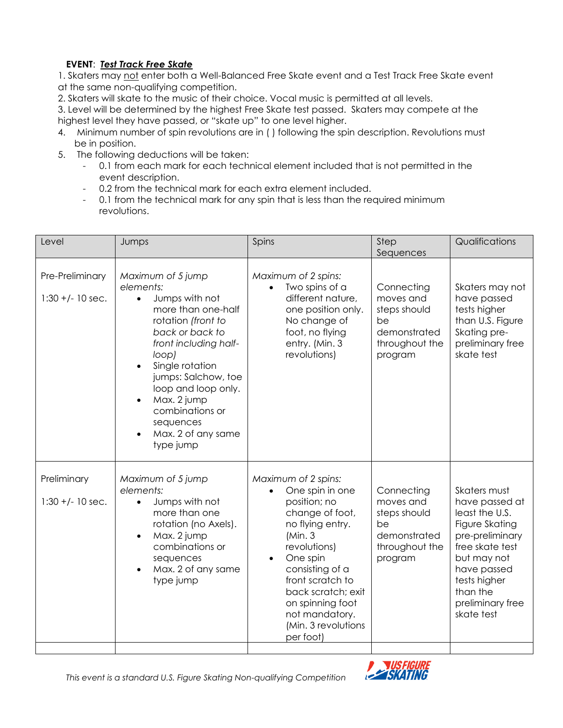## **EVENT**: *Test Track Free Skate*

1. Skaters may not enter both a Well-Balanced Free Skate event and a Test Track Free Skate event at the same non-qualifying competition.

2. Skaters will skate to the music of their choice. Vocal music is permitted at all levels.

3. Level will be determined by the highest Free Skate test passed. Skaters may compete at the highest level they have passed, or "skate up" to one level higher.

- 4. Minimum number of spin revolutions are in ( ) following the spin description. Revolutions must be in position.
- 5. The following deductions will be taken:
	- 0.1 from each mark for each technical element included that is not permitted in the event description.
	- 0.2 from the technical mark for each extra element included.
	- 0.1 from the technical mark for any spin that is less than the required minimum revolutions.

| Level                                 | Jumps                                                                                                                                                                                                                                                                                                                                                    | Spins                                                                                                                                                                                                                                                                                                 | Step<br>Sequences                                                                          | Qualifications                                                                                                                                                                                       |
|---------------------------------------|----------------------------------------------------------------------------------------------------------------------------------------------------------------------------------------------------------------------------------------------------------------------------------------------------------------------------------------------------------|-------------------------------------------------------------------------------------------------------------------------------------------------------------------------------------------------------------------------------------------------------------------------------------------------------|--------------------------------------------------------------------------------------------|------------------------------------------------------------------------------------------------------------------------------------------------------------------------------------------------------|
| Pre-Preliminary<br>$1:30 + (-10 sec.$ | Maximum of 5 jump<br>elements:<br>Jumps with not<br>$\bullet$<br>more than one-half<br>rotation (front to<br>back or back to<br>front including half-<br>loop)<br>Single rotation<br>$\bullet$<br>jumps: Salchow, toe<br>loop and loop only.<br>Max. 2 jump<br>$\bullet$<br>combinations or<br>sequences<br>Max. 2 of any same<br>$\bullet$<br>type jump | Maximum of 2 spins:<br>Two spins of a<br>different nature,<br>one position only.<br>No change of<br>foot, no flying<br>entry. (Min. 3<br>revolutions)                                                                                                                                                 | Connecting<br>moves and<br>steps should<br>be<br>demonstrated<br>throughout the<br>program | Skaters may not<br>have passed<br>tests higher<br>than U.S. Figure<br>Skating pre-<br>preliminary free<br>skate test                                                                                 |
| Preliminary<br>$1:30 +/- 10$ sec.     | Maximum of 5 jump<br>elements:<br>Jumps with not<br>$\bullet$<br>more than one<br>rotation (no Axels).<br>Max. 2 jump<br>$\bullet$<br>combinations or<br>sequences<br>Max. 2 of any same<br>type jump                                                                                                                                                    | Maximum of 2 spins:<br>One spin in one<br>$\bullet$<br>position; no<br>change of foot,<br>no flying entry.<br>(Min.3)<br>revolutions)<br>One spin<br>$\bullet$<br>consisting of a<br>front scratch to<br>back scratch; exit<br>on spinning foot<br>not mandatory.<br>(Min. 3 revolutions<br>per foot) | Connecting<br>moves and<br>steps should<br>be<br>demonstrated<br>throughout the<br>program | Skaters must<br>have passed at<br>least the U.S.<br>Figure Skating<br>pre-preliminary<br>free skate test<br>but may not<br>have passed<br>tests higher<br>than the<br>preliminary free<br>skate test |



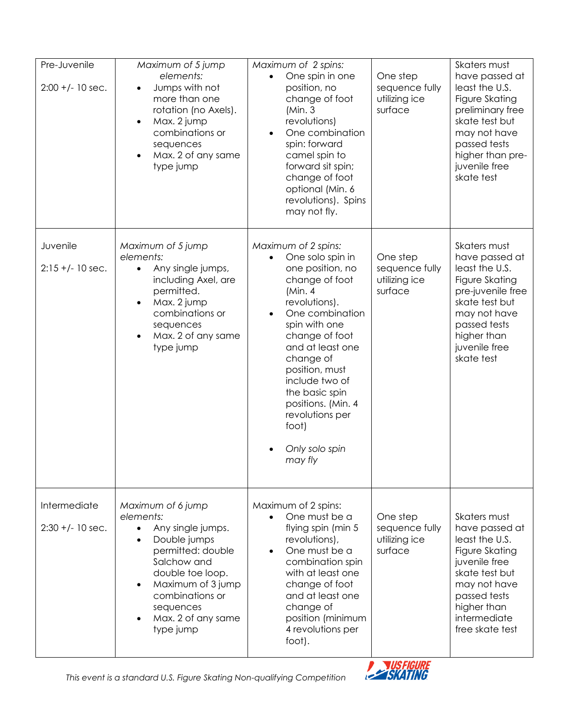| Pre-Juvenile<br>$2:00 + (-10 sec.$ | Maximum of 5 jump<br>elements:<br>Jumps with not<br>$\bullet$<br>more than one<br>rotation (no Axels).<br>Max. 2 jump<br>$\bullet$<br>combinations or<br>sequences<br>Max. 2 of any same<br>type jump                                                      | Maximum of 2 spins:<br>One spin in one<br>$\bullet$<br>position, no<br>change of foot<br>(Min.3)<br>revolutions)<br>One combination<br>spin: forward<br>camel spin to<br>forward sit spin;<br>change of foot<br>optional (Min. 6<br>revolutions). Spins<br>may not fly.                                                                             | One step<br>sequence fully<br>utilizing ice<br>surface | Skaters must<br>have passed at<br>least the U.S.<br>Figure Skating<br>preliminary free<br>skate test but<br>may not have<br>passed tests<br>higher than pre-<br>juvenile free<br>skate test |
|------------------------------------|------------------------------------------------------------------------------------------------------------------------------------------------------------------------------------------------------------------------------------------------------------|-----------------------------------------------------------------------------------------------------------------------------------------------------------------------------------------------------------------------------------------------------------------------------------------------------------------------------------------------------|--------------------------------------------------------|---------------------------------------------------------------------------------------------------------------------------------------------------------------------------------------------|
| Juvenile<br>$2:15 +/- 10$ sec.     | Maximum of 5 jump<br>elements:<br>Any single jumps,<br>$\bullet$<br>including Axel, are<br>permitted.<br>Max. 2 jump<br>$\bullet$<br>combinations or<br>sequences<br>Max. 2 of any same<br>$\bullet$<br>type jump                                          | Maximum of 2 spins:<br>One solo spin in<br>one position, no<br>change of foot<br>(Min. 4)<br>revolutions).<br>One combination<br>$\bullet$<br>spin with one<br>change of foot<br>and at least one<br>change of<br>position, must<br>include two of<br>the basic spin<br>positions. (Min. 4<br>revolutions per<br>foot)<br>Only solo spin<br>may fly | One step<br>sequence fully<br>utilizing ice<br>surface | Skaters must<br>have passed at<br>least the U.S.<br>Figure Skating<br>pre-juvenile free<br>skate test but<br>may not have<br>passed tests<br>higher than<br>juvenile free<br>skate test     |
| Intermediate<br>$2:30 +/- 10$ sec. | Maximum of 6 jump<br>elements:<br>Any single jumps.<br>$\bullet$<br>Double jumps<br>$\bullet$<br>permitted: double<br>Salchow and<br>double toe loop.<br>Maximum of 3 jump<br>$\bullet$<br>combinations or<br>sequences<br>Max. 2 of any same<br>type jump | Maximum of 2 spins:<br>One must be a<br>$\bullet$<br>flying spin (min 5<br>revolutions),<br>One must be a<br>combination spin<br>with at least one<br>change of foot<br>and at least one<br>change of<br>position (minimum<br>4 revolutions per<br>foot).                                                                                           | One step<br>sequence fully<br>utilizing ice<br>surface | Skaters must<br>have passed at<br>least the U.S.<br>Figure Skating<br>juvenile free<br>skate test but<br>may not have<br>passed tests<br>higher than<br>intermediate<br>free skate test     |

*This event is a standard U.S. Figure Skating Non-qualifying Competition* 

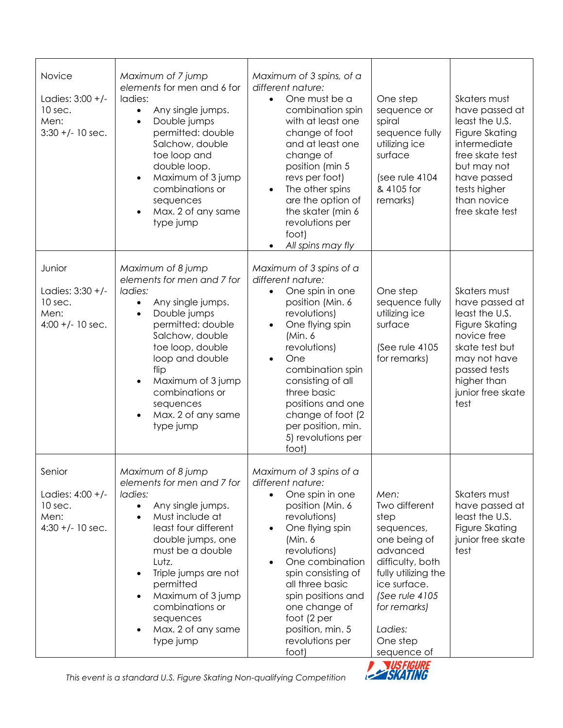| Novice<br>Ladies: $3:00 +/-$<br>10 sec.<br>Men:<br>$3:30 +/- 10$ sec. | Maximum of 7 jump<br>elements for men and 6 for<br>ladies:<br>Any single jumps.<br>$\bullet$<br>Double jumps<br>$\bullet$<br>permitted: double<br>Salchow, double<br>toe loop and<br>double loop.<br>Maximum of 3 jump<br>$\bullet$<br>combinations or<br>sequences<br>Max. 2 of any same<br>$\bullet$<br>type jump                                                        | Maximum of 3 spins, of a<br>different nature:<br>One must be a<br>$\bullet$<br>combination spin<br>with at least one<br>change of foot<br>and at least one<br>change of<br>position (min 5<br>revs per foot)<br>The other spins<br>$\bullet$<br>are the option of<br>the skater (min 6<br>revolutions per<br>foot)<br>All spins may fly        | One step<br>sequence or<br>spiral<br>sequence fully<br>utilizing ice<br>surface<br>(see rule 4104<br>& 4105 for<br>remarks)                                                                                | Skaters must<br>have passed at<br>least the U.S.<br>Figure Skating<br>intermediate<br>free skate test<br>but may not<br>have passed<br>tests higher<br>than novice<br>free skate test |
|-----------------------------------------------------------------------|----------------------------------------------------------------------------------------------------------------------------------------------------------------------------------------------------------------------------------------------------------------------------------------------------------------------------------------------------------------------------|------------------------------------------------------------------------------------------------------------------------------------------------------------------------------------------------------------------------------------------------------------------------------------------------------------------------------------------------|------------------------------------------------------------------------------------------------------------------------------------------------------------------------------------------------------------|---------------------------------------------------------------------------------------------------------------------------------------------------------------------------------------|
| Junior<br>Ladies: 3:30 +/-<br>10 sec.<br>Men:<br>$4:00 + (-10 sec.$   | Maximum of 8 jump<br>elements for men and 7 for<br>ladies:<br>Any single jumps.<br>$\bullet$<br>Double jumps<br>$\bullet$<br>permitted: double<br>Salchow, double<br>toe loop, double<br>loop and double<br>flip<br>Maximum of 3 jump<br>$\bullet$<br>combinations or<br>sequences<br>Max. 2 of any same<br>$\bullet$<br>type jump                                         | Maximum of 3 spins of a<br>different nature:<br>One spin in one<br>position (Min. 6<br>revolutions)<br>One flying spin<br>$\bullet$<br>(Min. 6)<br>revolutions)<br>One<br>$\bullet$<br>combination spin<br>consisting of all<br>three basic<br>positions and one<br>change of foot (2<br>per position, min.<br>5) revolutions per<br>foot)     | One step<br>sequence fully<br>utilizing ice<br>surface<br>(See rule 4105<br>for remarks)                                                                                                                   | Skaters must<br>have passed at<br>least the U.S.<br>Figure Skating<br>novice free<br>skate test but<br>may not have<br>passed tests<br>higher than<br>junior free skate<br>test       |
| Senior<br>Ladies: 4:00 +/-<br>10 sec.<br>Men:<br>$4:30 + (-10 sec.$   | Maximum of 8 jump<br>elements for men and 7 for<br>ladies:<br>Any single jumps.<br>$\bullet$<br>Must include at<br>$\bullet$<br>least four different<br>double jumps, one<br>must be a double<br>Lutz.<br>Triple jumps are not<br>$\bullet$<br>permitted<br>Maximum of 3 jump<br>$\bullet$<br>combinations or<br>sequences<br>Max. 2 of any same<br>$\bullet$<br>type jump | Maximum of 3 spins of a<br>different nature:<br>One spin in one<br>$\bullet$<br>position (Min. 6<br>revolutions)<br>One flying spin<br>(Min. 6)<br>revolutions)<br>One combination<br>$\bullet$<br>spin consisting of<br>all three basic<br>spin positions and<br>one change of<br>foot (2 per<br>position, min. 5<br>revolutions per<br>foot) | Men:<br>Two different<br>step<br>sequences,<br>one being of<br>advanced<br>difficulty, both<br>fully utilizing the<br>ice surface.<br>(See rule 4105<br>for remarks)<br>Ladies:<br>One step<br>sequence of | Skaters must<br>have passed at<br>least the U.S.<br>Figure Skating<br>junior free skate<br>test                                                                                       |

*This event is a standard U.S. Figure Skating Non-qualifying Competition* 

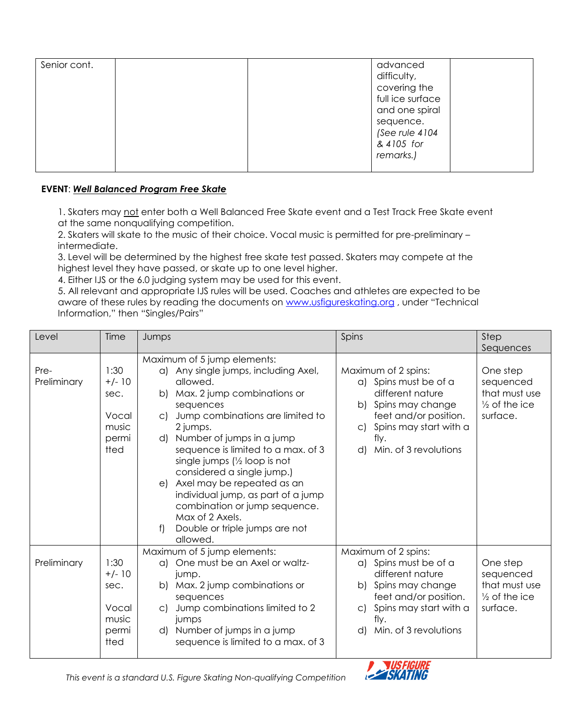| Senior cont. |  | advanced<br>difficulty,<br>covering the<br>full ice surface<br>and one spiral<br>sequence.<br>(See rule 4104<br>& 4105 for<br>remarks.) |  |
|--------------|--|-----------------------------------------------------------------------------------------------------------------------------------------|--|
|              |  |                                                                                                                                         |  |

## **EVENT**: *Well Balanced Program Free Skate*

1. Skaters may not enter both a Well Balanced Free Skate event and a Test Track Free Skate event at the same nonqualifying competition.

2. Skaters will skate to the music of their choice. Vocal music is permitted for pre-preliminary – intermediate.

3. Level will be determined by the highest free skate test passed. Skaters may compete at the highest level they have passed, or skate up to one level higher.

4. Either IJS or the 6.0 judging system may be used for this event.

5. All relevant and appropriate IJS rules will be used. Coaches and athletes are expected to be aware of these rules by reading the documents on [www.usfigureskating.org](http://www.usfigureskating.org/), under "Technical Information," then "Singles/Pairs"

| Level               | Time                                                        | Jumps                                                                                                                                                                                                                                                                                                                              | Spins                                                                                                                                                                                | Step                                                                                        |
|---------------------|-------------------------------------------------------------|------------------------------------------------------------------------------------------------------------------------------------------------------------------------------------------------------------------------------------------------------------------------------------------------------------------------------------|--------------------------------------------------------------------------------------------------------------------------------------------------------------------------------------|---------------------------------------------------------------------------------------------|
| Pre-<br>Preliminary | 1:30<br>$+/- 10$<br>sec.<br>Vocal                           | Maximum of 5 jump elements:<br>a) Any single jumps, including Axel,<br>allowed.<br>Max. 2 jump combinations or<br>b)<br>sequences<br>Jump combinations are limited to<br>C)                                                                                                                                                        | Maximum of 2 spins:<br>a) Spins must be of a<br>different nature<br>b) Spins may change<br>feet and/or position.                                                                     | Sequences<br>One step<br>sequenced<br>that must use<br>$\frac{1}{2}$ of the ice<br>surface. |
|                     | music<br>permi<br>tted                                      | 2 jumps.<br>Number of jumps in a jump<br>d)<br>sequence is limited to a max. of 3<br>single jumps (1/2 loop is not<br>considered a single jump.)<br>Axel may be repeated as an<br>e)<br>individual jump, as part of a jump<br>combination or jump sequence.<br>Max of 2 Axels.<br>Double or triple jumps are not<br>f)<br>allowed. | Spins may start with a<br>C)<br>fly.<br>Min. of 3 revolutions<br>d)                                                                                                                  |                                                                                             |
| Preliminary         | 1:30<br>$+/- 10$<br>sec.<br>Vocal<br>music<br>permi<br>tted | Maximum of 5 jump elements:<br>One must be an Axel or waltz-<br>a)<br>jump.<br>Max. 2 jump combinations or<br>b)<br>sequences<br>Jump combinations limited to 2<br>C)<br>jumps<br>Number of jumps in a jump<br>d)<br>sequence is limited to a max. of 3                                                                            | Maximum of 2 spins:<br>a) Spins must be of a<br>different nature<br>b) Spins may change<br>feet and/or position.<br>c) Spins may start with a<br>fly.<br>Min. of 3 revolutions<br>d) | One step<br>sequenced<br>that must use<br>$\frac{1}{2}$ of the ice<br>surface.              |

*This event is a standard U.S. Figure Skating Non-qualifying Competition*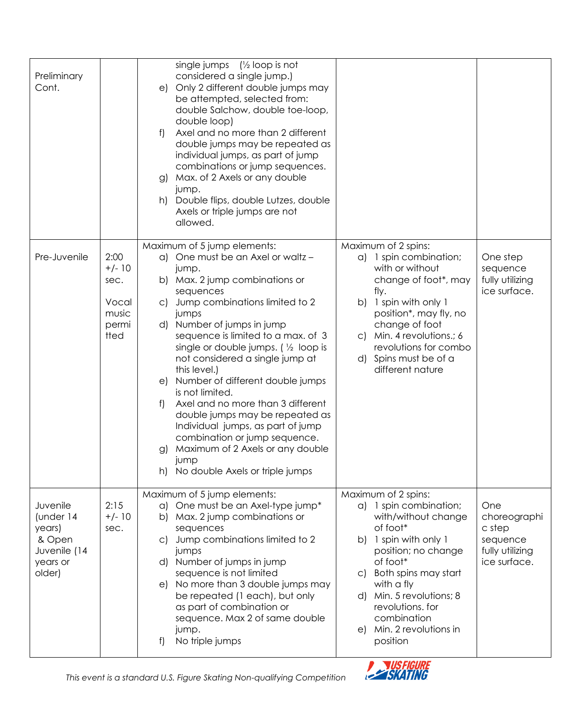| Preliminary<br>Cont.                                                            |                                                             | single jumps $\left(\frac{1}{2}\right)$ loop is not<br>considered a single jump.)<br>Only 2 different double jumps may<br>e)<br>be attempted, selected from:<br>double Salchow, double toe-loop,<br>double loop)<br>Axel and no more than 2 different<br>f)<br>double jumps may be repeated as<br>individual jumps, as part of jump<br>combinations or jump sequences.<br>Max. of 2 Axels or any double<br>g)<br>jump.<br>Double flips, double Lutzes, double<br>h)<br>Axels or triple jumps are not<br>allowed.                                                                                                                                                                 |                                                                                                                                                                                                                                                                                                    |                                                                              |
|---------------------------------------------------------------------------------|-------------------------------------------------------------|----------------------------------------------------------------------------------------------------------------------------------------------------------------------------------------------------------------------------------------------------------------------------------------------------------------------------------------------------------------------------------------------------------------------------------------------------------------------------------------------------------------------------------------------------------------------------------------------------------------------------------------------------------------------------------|----------------------------------------------------------------------------------------------------------------------------------------------------------------------------------------------------------------------------------------------------------------------------------------------------|------------------------------------------------------------------------------|
| Pre-Juvenile                                                                    | 2:00<br>$+/- 10$<br>sec.<br>Vocal<br>music<br>permi<br>tted | Maximum of 5 jump elements:<br>a) One must be an Axel or waltz -<br>jump.<br>b) Max. 2 jump combinations or<br>sequences<br>Jump combinations limited to 2<br>$\mathsf{C}$<br>jumps<br>d) Number of jumps in jump<br>sequence is limited to a max. of 3<br>single or double jumps. $\left(\frac{1}{2}\right)$ loop is<br>not considered a single jump at<br>this level.)<br>Number of different double jumps<br>e)<br>is not limited.<br>Axel and no more than 3 different<br>f<br>double jumps may be repeated as<br>Individual jumps, as part of jump<br>combination or jump sequence.<br>Maximum of 2 Axels or any double<br>g)<br>jump<br>h) No double Axels or triple jumps | Maximum of 2 spins:<br>a) 1 spin combination;<br>with or without<br>change of foot*, may<br>fly.<br>1 spin with only 1<br>b)<br>position*, may fly, no<br>change of foot<br>c) Min. 4 revolutions.; 6<br>revolutions for combo<br>d) Spins must be of a<br>different nature                        | One step<br>sequence<br>fully utilizing<br>ice surface.                      |
| Juvenile<br>(under 14<br>years)<br>& Open<br>Juvenile (14<br>years or<br>older) | 2:15<br>$+/- 10$<br>sec.                                    | Maximum of 5 jump elements:<br>One must be an Axel-type jump*<br>a)<br>Max. 2 jump combinations or<br>b)<br>sequences<br>Jump combinations limited to 2<br>$\mathsf{C}$<br>jumps<br>d) Number of jumps in jump<br>sequence is not limited<br>No more than 3 double jumps may<br>e)<br>be repeated (1 each), but only<br>as part of combination or<br>sequence. Max 2 of same double<br>jump.<br>No triple jumps<br>f)                                                                                                                                                                                                                                                            | Maximum of 2 spins:<br>a) 1 spin combination;<br>with/without change<br>of foot*<br>1 spin with only 1<br>b)<br>position; no change<br>of foot*<br>Both spins may start<br>C)<br>with a fly<br>d) Min. 5 revolutions; 8<br>revolutions. for<br>combination<br>e) Min. 2 revolutions in<br>position | One<br>choreographi<br>c step<br>sequence<br>fully utilizing<br>ice surface. |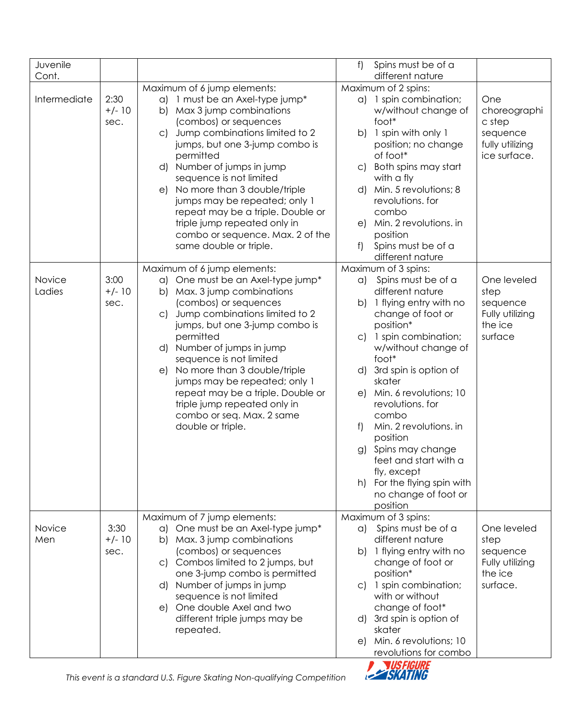| Juvenile         |                          |                                                                                                                                                                                                                                                                                                                                                                                                                                                                                           | f)<br>Spins must be of a                                                                                                                                                                                                                                                                                                                                                                                                                                                                                                                                        |
|------------------|--------------------------|-------------------------------------------------------------------------------------------------------------------------------------------------------------------------------------------------------------------------------------------------------------------------------------------------------------------------------------------------------------------------------------------------------------------------------------------------------------------------------------------|-----------------------------------------------------------------------------------------------------------------------------------------------------------------------------------------------------------------------------------------------------------------------------------------------------------------------------------------------------------------------------------------------------------------------------------------------------------------------------------------------------------------------------------------------------------------|
| Cont.            |                          |                                                                                                                                                                                                                                                                                                                                                                                                                                                                                           | different nature                                                                                                                                                                                                                                                                                                                                                                                                                                                                                                                                                |
| Intermediate     | 2:30<br>$+/- 10$<br>sec. | Maximum of 6 jump elements:<br>a) 1 must be an Axel-type jump*<br>Max 3 jump combinations<br>b)<br>(combos) or sequences<br>Jump combinations limited to 2<br>$\mathsf{C}$<br>jumps, but one 3-jump combo is<br>permitted<br>d) Number of jumps in jump<br>sequence is not limited<br>e) No more than 3 double/triple<br>jumps may be repeated; only 1<br>repeat may be a triple. Double or<br>triple jump repeated only in<br>combo or sequence. Max. 2 of the<br>same double or triple. | Maximum of 2 spins:<br>a) 1 spin combination;<br>One<br>w/without change of<br>choreographi<br>foot*<br>c step<br>b) 1 spin with only 1<br>sequence<br>position; no change<br>fully utilizing<br>of foot*<br>ice surface.<br>c) Both spins may start<br>with a fly<br>d) Min. 5 revolutions; 8<br>revolutions. for<br>combo<br>e) Min. 2 revolutions. in<br>position<br>Spins must be of a<br>f<br>different nature                                                                                                                                             |
| Novice<br>Ladies | 3:00<br>$+/- 10$<br>sec. | Maximum of 6 jump elements:<br>One must be an Axel-type jump*<br>a)<br>Max. 3 jump combinations<br>b)<br>(combos) or sequences<br>Jump combinations limited to 2<br>$\mathsf{C}$<br>jumps, but one 3-jump combo is<br>permitted<br>d) Number of jumps in jump<br>sequence is not limited<br>No more than 3 double/triple<br>e)<br>jumps may be repeated; only 1<br>repeat may be a triple. Double or<br>triple jump repeated only in<br>combo or seq. Max. 2 same<br>double or triple.    | Maximum of 3 spins:<br>Spins must be of a<br>One leveled<br>a)<br>different nature<br>step<br>1 flying entry with no<br>b)<br>sequence<br>change of foot or<br>Fully utilizing<br>position*<br>the ice<br>c) 1 spin combination;<br>surface<br>w/without change of<br>foot*<br>d) 3rd spin is option of<br>skater<br>e) Min. 6 revolutions; 10<br>revolutions. for<br>combo<br>Min. 2 revolutions. in<br>f)<br>position<br>Spins may change<br>g)<br>feet and start with a<br>fly, except<br>For the flying spin with<br>h)<br>no change of foot or<br>position |
| Novice<br>Men    | 3:30<br>$+/- 10$<br>sec. | Maximum of 7 jump elements:<br>One must be an Axel-type jump*<br>a)<br>Max. 3 jump combinations<br>b)<br>(combos) or sequences<br>c) Combos limited to 2 jumps, but<br>one 3-jump combo is permitted<br>d) Number of jumps in jump<br>sequence is not limited<br>e) One double Axel and two<br>different triple jumps may be<br>repeated.                                                                                                                                                 | Maximum of 3 spins:<br>Spins must be of a<br>One leveled<br>a)<br>different nature<br>step<br>b) 1 flying entry with no<br>sequence<br>change of foot or<br>Fully utilizing<br>position*<br>the ice<br>c) 1 spin combination;<br>surface.<br>with or without<br>change of foot*<br>d) 3rd spin is option of<br>skater<br>Min. 6 revolutions; 10<br>e)<br>revolutions for combo                                                                                                                                                                                  |

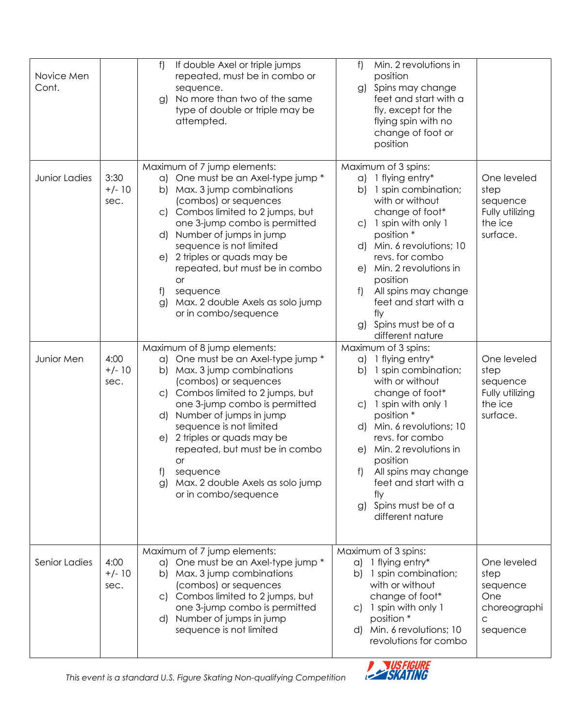| Novice Men<br>Cont.         |                                                      | If double Axel or triple jumps<br>f)<br>repeated, must be in combo or<br>sequence.<br>No more than two of the same<br>g)<br>type of double or triple may be<br>attempted.                                                                                                                                                                                                                                                                                                                                                                                                                     | Min. 2 revolutions in<br>f)<br>position<br>g) Spins may change<br>feet and start with a<br>fly, except for the<br>flying spin with no<br>change of foot or<br>position                                                                                                                                                                                                                                                                                                                                                                                                                                      |
|-----------------------------|------------------------------------------------------|-----------------------------------------------------------------------------------------------------------------------------------------------------------------------------------------------------------------------------------------------------------------------------------------------------------------------------------------------------------------------------------------------------------------------------------------------------------------------------------------------------------------------------------------------------------------------------------------------|-------------------------------------------------------------------------------------------------------------------------------------------------------------------------------------------------------------------------------------------------------------------------------------------------------------------------------------------------------------------------------------------------------------------------------------------------------------------------------------------------------------------------------------------------------------------------------------------------------------|
| Junior Ladies<br>Junior Men | 3:30<br>$+/- 10$<br>sec.<br>4:00<br>$+/- 10$<br>sec. | Maximum of 7 jump elements:<br>a) One must be an Axel-type jump *<br>b) Max. 3 jump combinations<br>(combos) or sequences<br>c) Combos limited to 2 jumps, but<br>one 3-jump combo is permitted<br>d) Number of jumps in jump<br>sequence is not limited<br>e) 2 triples or quads may be<br>repeated, but must be in combo<br><b>or</b><br>t)<br>sequence<br>Max. 2 double Axels as solo jump<br>g)<br>or in combo/sequence<br>Maximum of 8 jump elements:<br>a) One must be an Axel-type jump *<br>b) Max. 3 jump combinations<br>(combos) or sequences<br>c) Combos limited to 2 jumps, but | Maximum of 3 spins:<br>a) 1 flying entry*<br>One leveled<br>1 spin combination;<br>b)<br>step<br>with or without<br>sequence<br>change of foot*<br>Fully utilizing<br>c) 1 spin with only 1<br>the ice<br>position *<br>surface.<br>d) Min. 6 revolutions; 10<br>revs. for combo<br>Min. 2 revolutions in<br>e)<br>position<br>f<br>All spins may change<br>feet and start with a<br>fly<br>g) Spins must be of a<br>different nature<br>Maximum of 3 spins:<br>a) 1 flying entry*<br>One leveled<br>1 spin combination;<br>b)<br>step<br>with or without<br>sequence<br>change of foot*<br>Fully utilizing |
|                             |                                                      | one 3-jump combo is permitted<br>d) Number of jumps in jump<br>sequence is not limited<br>e) 2 triples or quads may be<br>repeated, but must be in combo<br>or<br>f)<br>sequence<br>Max. 2 double Axels as solo jump<br>g)<br>or in combo/sequence                                                                                                                                                                                                                                                                                                                                            | c) 1 spin with only 1<br>the ice<br>position *<br>surface.<br>d) Min. 6 revolutions; 10<br>revs. for combo<br>e) Min. 2 revolutions in<br>position<br>f)<br>All spins may change<br>feet and start with a<br>fly<br>g) Spins must be of a<br>different nature                                                                                                                                                                                                                                                                                                                                               |
| Senior Ladies               | 4:00<br>$+/- 10$<br>sec.                             | Maximum of 7 jump elements:<br>One must be an Axel-type jump *<br>$\alpha$<br>Max. 3 jump combinations<br>b)<br>(combos) or sequences<br>c) Combos limited to 2 jumps, but<br>one 3-jump combo is permitted<br>Number of jumps in jump<br>d)<br>sequence is not limited                                                                                                                                                                                                                                                                                                                       | Maximum of 3 spins:<br>a) 1 flying entry*<br>One leveled<br>b) 1 spin combination;<br>step<br>with or without<br>sequence<br>change of foot*<br>One<br>c) 1 spin with only 1<br>choreographi<br>position *<br>C<br>d) Min. 6 revolutions; 10<br>sequence<br>revolutions for combo                                                                                                                                                                                                                                                                                                                           |

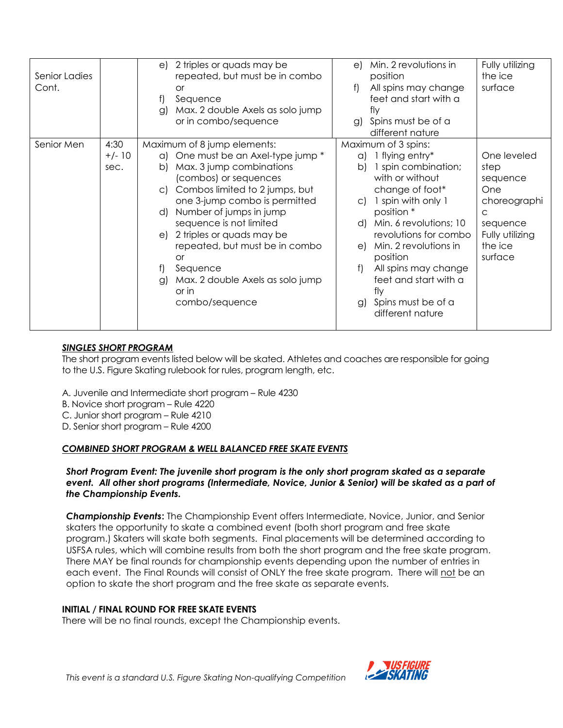| Senior Ladies<br>Cont. |                          | 2 triples or quads may be<br>e)<br>repeated, but must be in combo<br>or<br>f<br>Sequence<br>Max. 2 double Axels as solo jump<br>g)<br>or in combo/sequence                                                                                                                                                                                                                                                                                              | Min. 2 revolutions in<br>e)<br>position<br>All spins may change<br>f)<br>feet and start with a<br>flv<br>Spins must be of a                                                                                                                                                                                                                                                    | Fully utilizing<br>the ice<br>surface                                                                                       |
|------------------------|--------------------------|---------------------------------------------------------------------------------------------------------------------------------------------------------------------------------------------------------------------------------------------------------------------------------------------------------------------------------------------------------------------------------------------------------------------------------------------------------|--------------------------------------------------------------------------------------------------------------------------------------------------------------------------------------------------------------------------------------------------------------------------------------------------------------------------------------------------------------------------------|-----------------------------------------------------------------------------------------------------------------------------|
|                        |                          |                                                                                                                                                                                                                                                                                                                                                                                                                                                         | g)<br>different nature                                                                                                                                                                                                                                                                                                                                                         |                                                                                                                             |
| Senior Men             | 4:30<br>$+/- 10$<br>sec. | Maximum of 8 jump elements:<br>One must be an Axel-type jump *<br>a)<br>Max. 3 jump combinations<br>b)<br>(combos) or sequences<br>Combos limited to 2 jumps, but<br>$\mathsf{C}$<br>one 3-jump combo is permitted<br>Number of jumps in jump<br>d)<br>sequence is not limited<br>2 triples or quads may be<br>e)<br>repeated, but must be in combo<br><b>or</b><br>f)<br>Sequence<br>Max. 2 double Axels as solo jump<br>g)<br>or in<br>combo/sequence | Maximum of 3 spins:<br>$a)$ 1 flying entry*<br>1 spin combination;<br>b)<br>with or without<br>change of foot*<br>1 spin with only 1<br>$\mathsf{C}$<br>position *<br>d) Min. 6 revolutions; 10<br>revolutions for combo<br>e) Min. 2 revolutions in<br>position<br>All spins may change<br>f)<br>feet and start with a<br>fly<br>Spins must be of a<br>g)<br>different nature | One leveled<br>step<br>sequence<br>One<br>choreographi<br>$\mathsf{C}$<br>sequence<br>Fully utilizing<br>the ice<br>surface |

## *SINGLES SHORT PROGRAM*

The short program events listed below will be skated. Athletes and coaches are responsible for going to the U.S. Figure Skating rulebook for rules, program length, etc.

A. Juvenile and Intermediate short program – Rule 4230

B. Novice short program – Rule 4220

C. Junior short program – Rule 4210

D. Senior short program – Rule 4200

## *COMBINED SHORT PROGRAM & WELL BALANCED FREE SKATE EVENTS*

*Short Program Event: The juvenile short program is the only short program skated as a separate event. All other short programs (Intermediate, Novice, Junior & Senior) will be skated as a part of the Championship Events.* 

*Championship Events***:** The Championship Event offers Intermediate, Novice, Junior, and Senior skaters the opportunity to skate a combined event (both short program and free skate program.) Skaters will skate both segments. Final placements will be determined according to USFSA rules, which will combine results from both the short program and the free skate program. There MAY be final rounds for championship events depending upon the number of entries in each event. The Final Rounds will consist of ONLY the free skate program. There will not be an option to skate the short program and the free skate as separate events.

#### **INITIAL / FINAL ROUND FOR FREE SKATE EVENTS**

There will be no final rounds, except the Championship events.

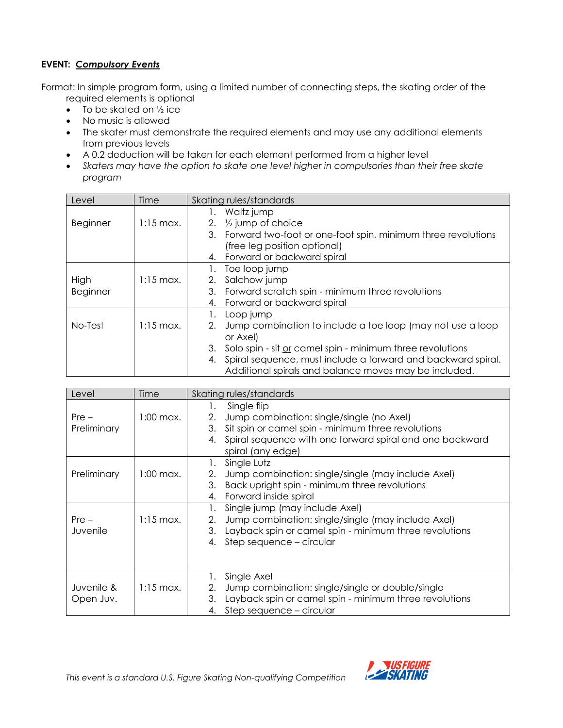## **EVENT:** *Compulsory Events*

Format: In simple program form, using a limited number of connecting steps, the skating order of the required elements is optional

- $\bullet$  To be skated on  $\frac{1}{2}$  ice
- No music is allowed
- The skater must demonstrate the required elements and may use any additional elements from previous levels
- A 0.2 deduction will be taken for each element performed from a higher level
- *Skaters may have the option to skate one level higher in compulsories than their free skate program*

| Level    | Time                 | Skating rules/standards                                          |
|----------|----------------------|------------------------------------------------------------------|
|          |                      | Waltz jump<br>1.                                                 |
| Beginner | $1:15 \text{ max}$ . | 2. $\frac{1}{2}$ jump of choice                                  |
|          |                      | 3. Forward two-foot or one-foot spin, minimum three revolutions  |
|          |                      | (free leg position optional)                                     |
|          |                      | 4. Forward or backward spiral                                    |
|          |                      | Toe loop jump                                                    |
| High     | $1:15 \text{ max}$ . | Salchow jump<br>2.                                               |
| Beginner |                      | Forward scratch spin - minimum three revolutions<br>3.           |
|          |                      | Forward or backward spiral<br>4.                                 |
|          |                      | Loop jump                                                        |
| No-Test  | $1:15 \text{ max}$ . | Jump combination to include a toe loop (may not use a loop<br>2. |
|          |                      | or Axel)                                                         |
|          |                      | Solo spin - sit or camel spin - minimum three revolutions<br>3.  |
|          |                      | 4. Spiral sequence, must include a forward and backward spiral.  |
|          |                      | Additional spirals and balance moves may be included.            |

| Level                   | Time                 | Skating rules/standards                                                                                                                                                                                                 |
|-------------------------|----------------------|-------------------------------------------------------------------------------------------------------------------------------------------------------------------------------------------------------------------------|
| $Pre -$<br>Preliminary  | 1:00 max.            | Single flip<br>1.<br>Jump combination: single/single (no Axel)<br>2.<br>Sit spin or camel spin - minimum three revolutions<br>3.<br>Spiral sequence with one forward spiral and one backward<br>4.<br>spiral (any edge) |
| Preliminary             | 1:00 max.            | Single Lutz<br>1.<br>Jump combination: single/single (may include Axel)<br>2.<br>Back upright spin - minimum three revolutions<br>3.<br>Forward inside spiral<br>4.                                                     |
| $Pre -$<br>Juvenile     | $1:15 \text{ max}$ . | Single jump (may include Axel)<br>Jump combination: single/single (may include Axel)<br>2.<br>Layback spin or camel spin - minimum three revolutions<br>3.<br>Step sequence - circular<br>4.                            |
| Juvenile &<br>Open Juv. | $1:15 \text{ max}$ . | Single Axel<br>Jump combination: single/single or double/single<br>2.<br>Layback spin or camel spin - minimum three revolutions<br>3.<br>Step sequence - circular<br>4.                                                 |

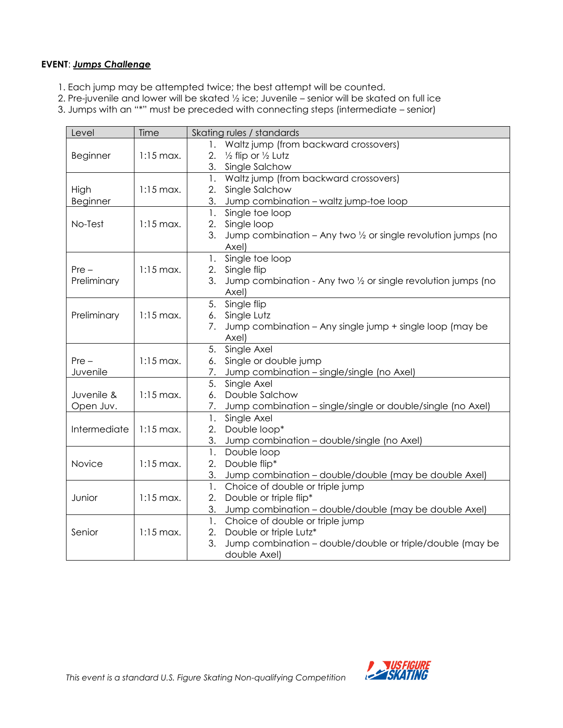#### **EVENT**: *Jumps Challenge*

- 1. Each jump may be attempted twice; the best attempt will be counted.
- 2. Pre-juvenile and lower will be skated ½ ice; Juvenile senior will be skated on full ice
- 3. Jumps with an "\*" must be preceded with connecting steps (intermediate senior)

| Level        | Time                 | Skating rules / standards                                                     |
|--------------|----------------------|-------------------------------------------------------------------------------|
|              |                      | Waltz jump (from backward crossovers)<br>1.                                   |
| Beginner     | $1:15 \text{ max}$ . | 2.<br>1/2 flip or 1/2 Lutz                                                    |
|              |                      | 3.<br>Single Salchow                                                          |
|              |                      | Waltz jump (from backward crossovers)<br>1.                                   |
| High         | $1:15$ max.          | Single Salchow<br>2.                                                          |
| Beginner     |                      | 3.<br>Jump combination - waltz jump-toe loop                                  |
|              |                      | 1.<br>Single toe loop                                                         |
| No-Test      | $1:15$ max.          | Single loop<br>2.                                                             |
|              |                      | 3.<br>Jump combination – Any two $\frac{1}{2}$ or single revolution jumps (no |
|              |                      | Axel)                                                                         |
|              |                      | Single toe loop<br>1.                                                         |
| $Pre -$      | $1:15$ max.          | Single flip<br>2.                                                             |
| Preliminary  |                      | 3.<br>Jump combination - Any two 1/2 or single revolution jumps (no           |
|              |                      | Axel)                                                                         |
|              |                      | Single flip<br>5.                                                             |
| Preliminary  | $1:15$ max.          | Single Lutz<br>6.                                                             |
|              |                      | Jump combination - Any single jump + single loop (may be<br>7.                |
|              |                      | Axel)                                                                         |
|              |                      | Single Axel<br>5.                                                             |
| $Pre -$      | $1:15$ max.          | Single or double jump<br>6.                                                   |
| Juvenile     |                      | Jump combination - single/single (no Axel)<br>7.                              |
|              |                      | Single Axel<br>5.                                                             |
| Juvenile &   | $1:15$ max.          | Double Salchow<br>6.                                                          |
| Open Juv.    |                      | Jump combination – single/single or double/single (no Axel)<br>7.             |
| Intermediate | $1:15$ max.          | Single Axel<br>1.<br>Double loop*<br>2.                                       |
|              |                      | 3.<br>Jump combination - double/single (no Axel)                              |
|              |                      | 1.<br>Double loop                                                             |
| Novice       | $1:15$ max.          | Double flip*<br>2.                                                            |
|              |                      | 3.<br>Jump combination - double/double (may be double Axel)                   |
|              |                      | Choice of double or triple jump<br>1.                                         |
| Junior       | $1:15$ max.          | 2.<br>Double or triple flip*                                                  |
|              |                      | 3.<br>Jump combination - double/double (may be double Axel)                   |
|              |                      | Choice of double or triple jump<br>1.                                         |
| Senior       | $1:15$ max.          | Double or triple Lutz*<br>2.                                                  |
|              |                      | 3.<br>Jump combination – double/double or triple/double (may be               |
|              |                      | double Axel)                                                                  |

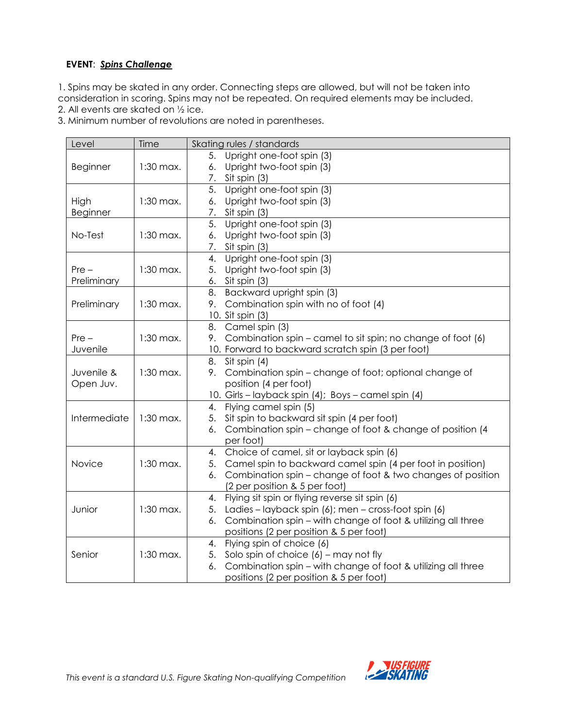## **EVENT**: *Spins Challenge*

1. Spins may be skated in any order. Connecting steps are allowed, but will not be taken into consideration in scoring. Spins may not be repeated. On required elements may be included.

2. All events are skated on ½ ice.

3. Minimum number of revolutions are noted in parentheses.

| Level           | Time        | Skating rules / standards                                          |
|-----------------|-------------|--------------------------------------------------------------------|
|                 |             | Upright one-foot spin (3)<br>5.                                    |
| <b>Beginner</b> | $1:30$ max. | Upright two-foot spin (3)<br>6.                                    |
|                 |             | Sit spin (3)<br>7.                                                 |
|                 |             | Upright one-foot spin (3)<br>5.                                    |
| High            | $1:30$ max. | Upright two-foot spin (3)<br>6.                                    |
| Beginner        |             | 7. Sit spin (3)                                                    |
|                 |             | Upright one-foot spin (3)<br>5.                                    |
| No-Test         | $1:30$ max. | Upright two-foot spin (3)<br>6.                                    |
|                 |             | Sit spin (3)<br>7.                                                 |
|                 |             | Upright one-foot spin (3)<br>4.                                    |
| $Pre -$         | $1:30$ max. | Upright two-foot spin (3)<br>5.                                    |
| Preliminary     |             | Sit spin (3)<br>6.                                                 |
|                 |             | Backward upright spin (3)<br>8.                                    |
| Preliminary     | $1:30$ max. | Combination spin with no of foot (4)<br>9.                         |
|                 |             | 10. Sit spin (3)                                                   |
|                 |             | Camel spin (3)<br>8.                                               |
| $Pre -$         | $1:30$ max. | Combination spin – camel to sit spin; no change of foot (6)<br>9.  |
| Juvenile        |             | 10. Forward to backward scratch spin (3 per foot)                  |
|                 |             | Sit spin (4)<br>8.                                                 |
| Juvenile &      | $1:30$ max. | Combination spin - change of foot; optional change of<br>9.        |
| Open Juv.       |             | position (4 per foot)                                              |
|                 |             | 10. Girls - layback spin (4); Boys - camel spin (4)                |
|                 |             | Flying camel spin (5)<br>4.                                        |
| Intermediate    | $1:30$ max. | Sit spin to backward sit spin (4 per foot)<br>5.                   |
|                 |             | Combination spin - change of foot & change of position (4<br>6.    |
|                 |             | per foot)                                                          |
|                 |             | Choice of camel, sit or layback spin (6)<br>4.                     |
| Novice          | $1:30$ max. | Camel spin to backward camel spin (4 per foot in position)<br>5.   |
|                 |             | Combination spin – change of foot & two changes of position<br>6.  |
|                 |             | (2 per position & 5 per foot)                                      |
|                 |             | Flying sit spin or flying reverse sit spin (6)<br>4.               |
| Junior          | $1:30$ max. | Ladies – layback spin (6); men – cross-foot spin (6)<br>5.         |
|                 |             | Combination spin - with change of foot & utilizing all three<br>6. |
|                 |             | positions (2 per position & 5 per foot)                            |
|                 |             | Flying spin of choice (6)<br>4.                                    |
| Senior          | $1:30$ max. | Solo spin of choice $(6)$ – may not fly<br>5.                      |
|                 |             | Combination spin - with change of foot & utilizing all three<br>6. |
|                 |             | positions (2 per position & 5 per foot)                            |

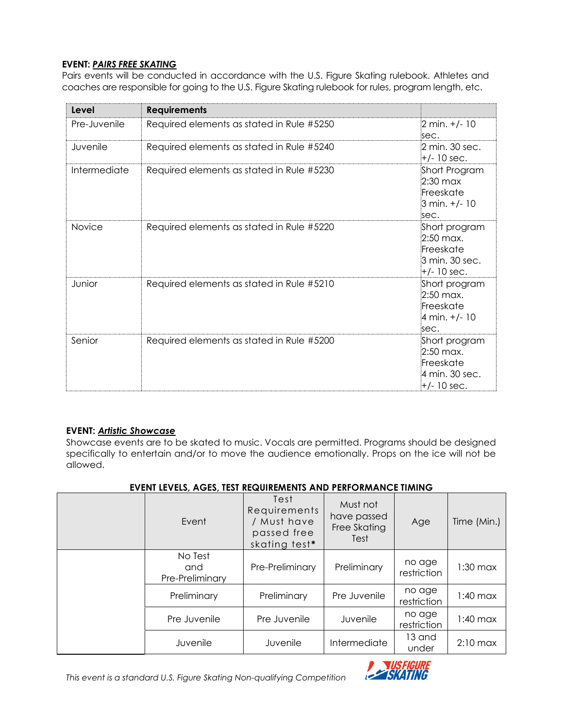#### **EVENT:** *PAIRS FREE SKATING*

Pairs events will be conducted in accordance with the U.S. Figure Skating rulebook. Athletes and coaches are responsible for going to the U.S. Figure Skating rulebook for rules, program length, etc.

| Level         | <b>Requirements</b>                       |                                                                              |
|---------------|-------------------------------------------|------------------------------------------------------------------------------|
| Pre-Juvenile  | Required elements as stated in Rule #5250 | $2 \text{ min.} +/- 10$<br>isec.                                             |
| Juvenile      | Required elements as stated in Rule #5240 | 2 min. 30 sec.<br>$+/- 10$ sec.                                              |
| Intermediate  | Required elements as stated in Rule #5230 | Short Program<br>$2:30$ max<br>Freeskate<br>3 min. +/- 10<br>sec.            |
| <b>Novice</b> | Required elements as stated in Rule #5220 | Short program<br>$2:50$ max.<br>Freeskate<br>3 min. 30 sec.<br>$+/- 10$ sec. |
| Junior        | Required elements as stated in Rule #5210 | Short program<br>$2:50$ max.<br>Freeskate<br>4 min. +/- 10<br>sec.           |
| Senior        | Required elements as stated in Rule #5200 | Short program<br>$2:50$ max.<br>Freeskate<br>4 min. 30 sec.<br>$+/- 10$ sec. |

#### **EVENT:** *Artistic Showcase*

Showcase events are to be skated to music. Vocals are permitted. Programs should be designed specifically to entertain and/or to move the audience emotionally. Props on the ice will not be allowed.

| Fvent                             | Test<br>Requirements<br>/ Must have<br>passed free<br>skating test* | Must not<br>have passed<br>Free Skating<br>Test | Age                   | Time (Min.) |
|-----------------------------------|---------------------------------------------------------------------|-------------------------------------------------|-----------------------|-------------|
| No Test<br>and<br>Pre-Preliminary | Pre-Preliminary                                                     | Preliminary                                     | no age<br>restriction | $1:30$ max  |
| Preliminary                       | Preliminary                                                         | Pre Juvenile                                    | no age<br>restriction | $1:40$ max  |
| Pre Juvenile                      | Pre Juvenile                                                        | Juvenile                                        | no age<br>restriction | $1:40$ max  |
| Juvenile                          | Juvenile                                                            | Intermediate                                    | 13 and<br>under       | $2:10$ max  |

## **EVENT LEVELS, AGES, TEST REQUIREMENTS AND PERFORMANCE TIMING**